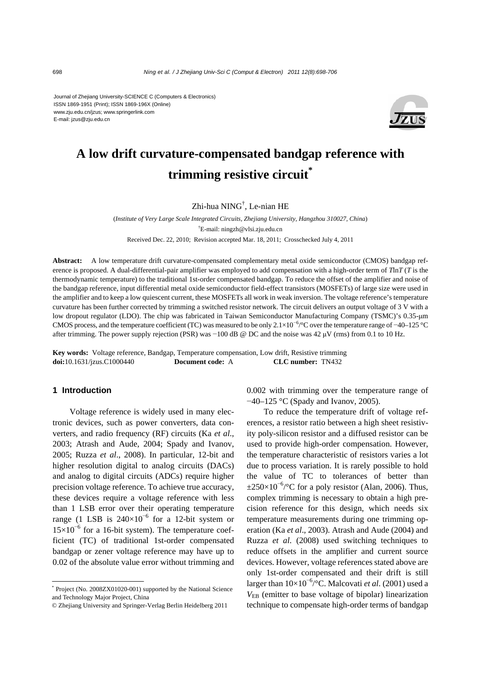Journal of Zhejiang University-SCIENCE C (Computers & Electronics) ISSN 1869-1951 (Print); ISSN 1869-196X (Online) www.zju.edu.cn/jzus; www.springerlink.com E-mail: jzus@zju.edu.cn



# **A low drift curvature-compensated bandgap reference with trimming resistive circuit\***

Zhi-hua NING† , Le-nian HE

(*Institute of Very Large Scale Integrated Circuits, Zhejiang University, Hangzhou 310027, China*) † E-mail: ningzh@vlsi.zju.edu.cn Received Dec. 22, 2010; Revision accepted Mar. 18, 2011; Crosschecked July 4, 2011

**Abstract:** A low temperature drift curvature-compensated complementary metal oxide semiconductor (CMOS) bandgap reference is proposed. A dual-differential-pair amplifier was employed to add compensation with a high-order term of *T*ln*T* (*T* is the thermodynamic temperature) to the traditional 1st-order compensated bandgap. To reduce the offset of the amplifier and noise of the bandgap reference, input differential metal oxide semiconductor field-effect transistors (MOSFETs) of large size were used in the amplifier and to keep a low quiescent current, these MOSFETs all work in weak inversion. The voltage reference's temperature curvature has been further corrected by trimming a switched resistor network. The circuit delivers an output voltage of 3 V with a low dropout regulator (LDO). The chip was fabricated in Taiwan Semiconductor Manufacturing Company (TSMC)'s 0.35-μm CMOS process, and the temperature coefficient (TC) was measured to be only 2.1×10*<sup>−</sup>*<sup>6</sup> /°C over the temperature range of −40–125 °C after trimming. The power supply rejection (PSR) was  $-100$  dB @ DC and the noise was 42  $\mu$ V (rms) from 0.1 to 10 Hz.

**Key words:** Voltage reference, Bandgap, Temperature compensation, Low drift, Resistive trimming **doi:**10.1631/jzus.C1000440 **Document code:** A **CLC number:** TN432

#### **1 Introduction**

Voltage reference is widely used in many electronic devices, such as power converters, data converters, and radio frequency (RF) circuits (Ka *et al*., 2003; Atrash and Aude, 2004; Spady and Ivanov, 2005; Ruzza *et al*., 2008). In particular, 12-bit and higher resolution digital to analog circuits (DACs) and analog to digital circuits (ADCs) require higher precision voltage reference. To achieve true accuracy, these devices require a voltage reference with less than 1 LSB error over their operating temperature range (1 LSB is  $240\times10^{-6}$  for a 12-bit system or 15×10<sup>−</sup><sup>6</sup> for a 16-bit system). The temperature coefficient (TC) of traditional 1st-order compensated bandgap or zener voltage reference may have up to 0.02 of the absolute value error without trimming and

\* Project (No. 2008ZX01020-001) supported by the National Science and Technology Major Project, China

0.002 with trimming over the temperature range of −40–125 °C (Spady and Ivanov, 2005).

To reduce the temperature drift of voltage references, a resistor ratio between a high sheet resistivity poly-silicon resistor and a diffused resistor can be used to provide high-order compensation. However, the temperature characteristic of resistors varies a lot due to process variation. It is rarely possible to hold the value of TC to tolerances of better than  $\pm 250 \times 10^{-6}$ /°C for a poly resistor (Alan, 2006). Thus, complex trimming is necessary to obtain a high precision reference for this design, which needs six temperature measurements during one trimming operation (Ka *et al*., 2003). Atrash and Aude (2004) and Ruzza *et al*. (2008) used switching techniques to reduce offsets in the amplifier and current source devices. However, voltage references stated above are only 1st-order compensated and their drift is still larger than 10×10<sup>−</sup><sup>6</sup> /°C. Malcovati *et al*. (2001) used a *V*EB (emitter to base voltage of bipolar) linearization technique to compensate high-order terms of bandgap

<sup>©</sup> Zhejiang University and Springer-Verlag Berlin Heidelberg 2011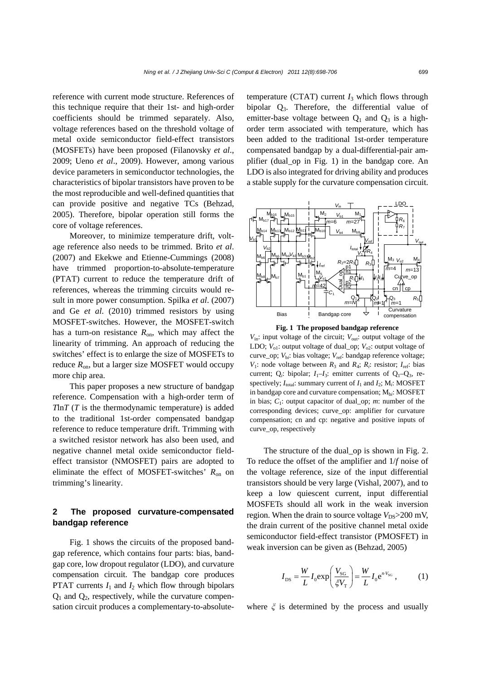reference with current mode structure. References of this technique require that their 1st- and high-order coefficients should be trimmed separately. Also, voltage references based on the threshold voltage of metal oxide semiconductor field-effect transistors (MOSFETs) have been proposed (Filanovsky *et al*., 2009; Ueno *et al*., 2009). However, among various device parameters in semiconductor technologies, the characteristics of bipolar transistors have proven to be the most reproducible and well-defined quantities that can provide positive and negative TCs (Behzad, 2005). Therefore, bipolar operation still forms the core of voltage references.

Moreover, to minimize temperature drift, voltage reference also needs to be trimmed. Brito *et al*. (2007) and Ekekwe and Etienne-Cummings (2008) have trimmed proportion-to-absolute-temperature (PTAT) current to reduce the temperature drift of references, whereas the trimming circuits would result in more power consumption. Spilka *et al*. (2007) and Ge *et al*. (2010) trimmed resistors by using MOSFET-switches. However, the MOSFET-switch has a turn-on resistance  $R_{on}$ , which may affect the linearity of trimming. An approach of reducing the switches' effect is to enlarge the size of MOSFETs to reduce  $R_{on}$ , but a larger size MOSFET would occupy more chip area.

This paper proposes a new structure of bandgap reference. Compensation with a high-order term of *T*ln*T* (*T* is the thermodynamic temperature) is added to the traditional 1st-order compensated bandgap reference to reduce temperature drift. Trimming with a switched resistor network has also been used, and negative channel metal oxide semiconductor fieldeffect transistor (NMOSFET) pairs are adopted to eliminate the effect of MOSFET-switches'  $R_{on}$  on trimming's linearity.

## **2 The proposed curvature-compensated bandgap reference**

Fig. 1 shows the circuits of the proposed bandgap reference, which contains four parts: bias, bandgap core, low dropout regulator (LDO), and curvature compensation circuit. The bandgap core produces **PTAT** currents  $I_1$  and  $I_2$  which flow through bipolars  $Q_1$  and  $Q_2$ , respectively, while the curvature compensation circuit produces a complementary-to-absolutetemperature (CTAT) current  $I_3$  which flows through bipolar Q3. Therefore, the differential value of emitter-base voltage between  $Q_1$  and  $Q_3$  is a highorder term associated with temperature, which has been added to the traditional 1st-order temperature compensated bandgap by a dual-differential-pair amplifier (dual\_op in Fig. 1) in the bandgap core. An LDO is also integrated for driving ability and produces a stable supply for the curvature compensation circuit.





 $V_{\text{in}}$ : input voltage of the circuit;  $V_{\text{out}}$ : output voltage of the LDO;  $V_{01}$ : output voltage of dual\_op;  $V_{02}$ : output voltage of curve\_op;  $V_{bi}$ : bias voltage;  $V_{ref}$ : bandgap reference voltage; *V*<sub>1</sub>: node voltage between  $R_3$  and  $R_4$ ;  $R_i$ : resistor;  $I_{\text{ref}}$ : bias current; Q<sub>i</sub>: bipolar;  $I_1-I_3$ : emitter currents of Q<sub>1</sub>–Q<sub>3</sub>, respectively;  $I_{total}$ : summary current of  $I_1$  and  $I_2$ ;  $M_i$ : MOSFET in bandgap core and curvature compensation; Mb*i*: MOSFET in bias;  $C_1$ : output capacitor of dual\_op; *m*: number of the corresponding devices; curve\_op: amplifier for curvature compensation; cn and cp: negative and positive inputs of curve\_op, respectively

The structure of the dual\_op is shown in Fig. 2. To reduce the offset of the amplifier and 1/*f* noise of the voltage reference, size of the input differential transistors should be very large (Vishal, 2007), and to keep a low quiescent current, input differential MOSFETs should all work in the weak inversion region. When the drain to source voltage  $V_{DS}$  > 200 mV, the drain current of the positive channel metal oxide semiconductor field-effect transistor (PMOSFET) in weak inversion can be given as (Behzad, 2005)

$$
I_{\rm DS} = \frac{W}{L} I_0 \exp\left(\frac{V_{\rm SG}}{\xi V_{\rm T}}\right) = \frac{W}{L} I_0 e^{n \cdot V_{\rm SG}},\tag{1}
$$

where  $\xi$  is determined by the process and usually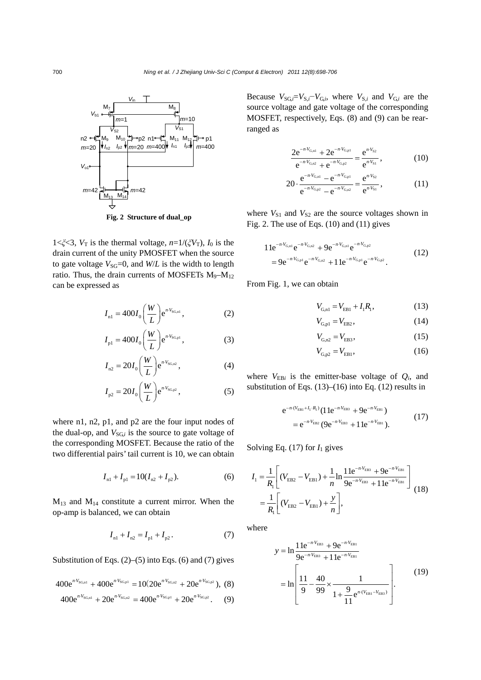

1< $\zeta \zeta$ 3,  $V_T$  is the thermal voltage,  $n=1/(\zeta V_T)$ ,  $I_0$  is the drain current of the unity PMOSFET when the source to gate voltage  $V_{SG}=0$ , and  $W/L$  is the width to length ratio. Thus, the drain currents of MOSFETs  $M_9 - M_{12}$ can be expressed as

$$
I_{n1} = 400 I_0 \left(\frac{W}{L}\right) e^{n \cdot V_{\text{SG,n1}}},\tag{2}
$$

$$
I_{\rm pl} = 400 I_0 \bigg(\frac{W}{L}\bigg) e^{n \cdot V_{\rm SQpl}},\tag{3}
$$

$$
I_{\rm n2} = 20 I_0 \bigg(\frac{W}{L}\bigg) e^{n \cdot V_{\rm SG,n2}},\tag{4}
$$

$$
I_{p2} = 20I_0 \left(\frac{W}{L}\right) e^{n \cdot V_{SG,p2}}, \tag{5}
$$

where n1, n2, p1, and p2 are the four input nodes of the dual-op, and  $V_{SGi}$  is the source to gate voltage of the corresponding MOSFET. Because the ratio of the two differential pairs' tail current is 10, we can obtain

$$
I_{n1} + I_{p1} = 10(I_{n2} + I_{p2}).
$$
 (6)

 $M_{13}$  and  $M_{14}$  constitute a current mirror. When the op-amp is balanced, we can obtain

$$
I_{n1} + I_{n2} = I_{p1} + I_{p2}.
$$
 (7)

Substitution of Eqs.  $(2)$ – $(5)$  into Eqs.  $(6)$  and  $(7)$  gives

$$
400e^{n\cdot V_{SG,n1}} + 400e^{n\cdot V_{SG,p1}} = 10(20e^{n\cdot V_{SG,n2}} + 20e^{n\cdot V_{SG,p2}}), (8)
$$

$$
400e^{n\cdot V_{SG,n1}} + 20e^{n\cdot V_{SG,n2}} = 400e^{n\cdot V_{SG,p1}} + 20e^{n\cdot V_{SG,p2}}.
$$
 (9)

Because  $V_{SG,i} = V_{S,i} - V_{G,i}$ , where  $V_{S,i}$  and  $V_{G,i}$  are the source voltage and gate voltage of the corresponding MOSFET, respectively, Eqs. (8) and (9) can be rearranged as

$$
\frac{2e^{-n\cdot V_{G,n1}} + 2e^{-n\cdot V_{G,p1}}}{e^{-n\cdot V_{G,n2}} + e^{-n\cdot V_{G,p2}}} = \frac{e^{n\cdot V_{S2}}}{e^{n\cdot V_{S1}}},
$$
(10)

$$
20 \cdot \frac{e^{-n \cdot V_{G,nl}} - e^{-n \cdot V_{G,nl}}}{e^{-n \cdot V_{G,n2}} - e^{-n \cdot V_{G,n2}}} = \frac{e^{n \cdot V_{S2}}}{e^{n \cdot V_{S1}}},
$$
(11)

where  $V_{S1}$  and  $V_{S2}$  are the source voltages shown in Fig. 2. The use of Eqs. (10) and (11) gives

$$
11e^{-n\cdot V_{G,n1}}e^{-n\cdot V_{G,n2}} + 9e^{-n\cdot V_{G,n1}}e^{-n\cdot V_{G,p2}}= 9e^{-n\cdot V_{G,p1}}e^{-n\cdot V_{G,n2}} + 11e^{-n\cdot V_{G,p1}}e^{-n\cdot V_{G,p2}}.
$$
 (12)

From Fig. 1, we can obtain

$$
V_{G,n1} = V_{EB1} + I_1 R_1, \tag{13}
$$

$$
V_{G, \text{p1}} = V_{EB2},\tag{14}
$$

$$
V_{G,n2} = V_{EB3},\tag{15}
$$

$$
V_{G,p2} = V_{EB1},
$$
 (16)

where  $V_{EBi}$  is the emitter-base voltage of  $Q_i$ , and substitution of Eqs.  $(13)$ – $(16)$  into Eq.  $(12)$  results in

$$
e^{-n\cdot(V_{EB1}+I_1\cdot R_1)}(11e^{-n\cdot V_{EB3}} + 9e^{-n\cdot V_{EB1}})
$$
  
= 
$$
e^{-n\cdot V_{EB2}}(9e^{-n\cdot V_{EB3}} + 11e^{-n\cdot V_{EB1}}).
$$
 (17)

Solving Eq.  $(17)$  for  $I_1$  gives

$$
I_{1} = \frac{1}{R_{1}} \left[ (V_{EB2} - V_{EB1}) + \frac{1}{n} \ln \frac{11e^{-n \cdot V_{EB3}} + 9e^{-n \cdot V_{EB1}}}{9e^{-n \cdot V_{EB3}} + 11e^{-n \cdot V_{EB1}}} \right]
$$
  
=  $\frac{1}{R_{1}} \left[ (V_{EB2} - V_{EB1}) + \frac{y}{n} \right],$  (18)

where

$$
y = \ln \frac{11e^{-n \cdot V_{EB3}} + 9e^{-n \cdot V_{EB1}}}{9e^{-n \cdot V_{EB3}} + 11e^{-n \cdot V_{EB1}}}
$$
  
= 
$$
\ln \left[ \frac{11}{9} - \frac{40}{99} \times \frac{1}{1 + \frac{9}{11}e^{n \cdot (V_{EB1} - V_{EB3})}} \right].
$$
 (19)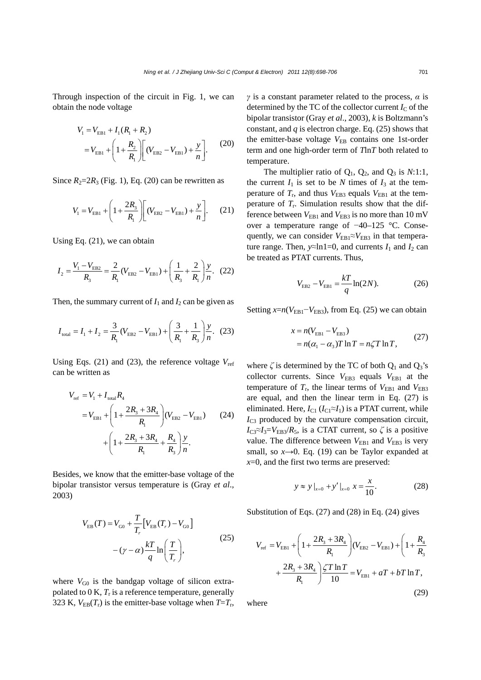Through inspection of the circuit in Fig. 1, we can obtain the node voltage

$$
V_1 = V_{EB1} + I_1(R_1 + R_2)
$$
  
=  $V_{EB1} + \left(1 + \frac{R_2}{R_1}\right) \left[ (V_{EB2} - V_{EB1}) + \frac{y}{n} \right].$  (20)

Since  $R_2=2R_3$  (Fig. 1), Eq. (20) can be rewritten as

$$
V_{1} = V_{\text{EB1}} + \left(1 + \frac{2R_{3}}{R_{1}}\right)\left[(V_{\text{EB2}} - V_{\text{EB1}}) + \frac{y}{n}\right].
$$
 (21)

Using Eq. (21), we can obtain

$$
I_2 = \frac{V_1 - V_{EB2}}{R_3} = \frac{2}{R_1} (V_{EB2} - V_{EB1}) + \left(\frac{1}{R_3} + \frac{2}{R_1}\right) \frac{y}{n}.
$$
 (22)

Then, the summary current of  $I_1$  and  $I_2$  can be given as

$$
I_{\text{total}} = I_1 + I_2 = \frac{3}{R_1} (V_{\text{EB2}} - V_{\text{EB1}}) + \left(\frac{3}{R_1} + \frac{1}{R_3}\right) \frac{y}{n}.
$$
 (23)

Using Eqs.  $(21)$  and  $(23)$ , the reference voltage  $V_{ref}$ can be written as

$$
V_{\text{ref}} = V_{1} + I_{\text{total}} R_{4}
$$
  
=  $V_{\text{EB1}} + \left(1 + \frac{2R_{3} + 3R_{4}}{R_{1}}\right) (V_{\text{EB2}} - V_{\text{EB1}})$  (24)  
+  $\left(1 + \frac{2R_{3} + 3R_{4}}{R_{1}} + \frac{R_{4}}{R_{3}}\right) \frac{y}{n}.$ 

Besides, we know that the emitter-base voltage of the bipolar transistor versus temperature is (Gray *et al*., 2003)

$$
V_{\text{EB}}(T) = V_{\text{G0}} + \frac{T}{T_r} \Big[ V_{\text{EB}}(T_r) - V_{\text{G0}} \Big] - (\gamma - \alpha) \frac{kT}{q} \ln \left( \frac{T}{T_r} \right), \tag{25}
$$

where  $V_{\text{G0}}$  is the bandgap voltage of silicon extrapolated to  $0 K, T_r$  is a reference temperature, generally 323 K,  $V_{EB}(T_r)$  is the emitter-base voltage when  $T=T_r$ , *γ* is a constant parameter related to the process, *α* is determined by the TC of the collector current  $I_{\rm C}$  of the bipolar transistor (Gray *et al*., 2003), *k* is Boltzmann's constant, and *q* is electron charge. Eq. (25) shows that the emitter-base voltage  $V_{\text{EB}}$  contains one 1st-order term and one high-order term of *T*ln*T* both related to temperature.

The multiplier ratio of  $Q_1$ ,  $Q_2$ , and  $Q_3$  is *N*:1:1, the current  $I_1$  is set to be N times of  $I_3$  at the temperature of  $T_r$ , and thus  $V_{EB3}$  equals  $V_{EB1}$  at the temperature of  $T_r$ . Simulation results show that the difference between  $V_{EB1}$  and  $V_{EB3}$  is no more than 10 mV over a temperature range of −40–125 °C. Consequently, we can consider  $V_{EB1} \approx V_{EB3}$  in that temperature range. Then,  $y \approx \ln 1 = 0$ , and currents  $I_1$  and  $I_2$  can be treated as PTAT currents. Thus,

$$
V_{EB2} - V_{EB1} = \frac{kT}{q} \ln(2N). \tag{26}
$$

Setting  $x=n(V_{EB1}-V_{EB3})$ , from Eq. (25) we can obtain

$$
x = n(V_{\text{EB1}} - V_{\text{EB3}})
$$
  
=  $n(\alpha_1 - \alpha_3)T \ln T = n\zeta T \ln T,$  (27)

where  $\zeta$  is determined by the TC of both  $Q_1$  and  $Q_3$ 's collector currents. Since  $V_{EB3}$  equals  $V_{EB1}$  at the temperature of  $T_r$ , the linear terms of  $V_{EB1}$  and  $V_{EB3}$ are equal, and then the linear term in Eq. (27) is eliminated. Here,  $I_{C1}$  ( $I_{C1} \approx I_1$ ) is a PTAT current, while *I*<sub>C3</sub> produced by the curvature compensation circuit,  $I_{\text{C3}} \approx I_3 = V_{\text{EB3}}/R_5$ , is a CTAT current, so  $\zeta$  is a positive value. The difference between  $V_{EB1}$  and  $V_{EB3}$  is very small, so  $x \rightarrow 0$ . Eq. (19) can be Taylor expanded at *x*=0, and the first two terms are preserved:

$$
y \approx y \big|_{x=0} + y' \big|_{x=0} x = \frac{x}{10}.
$$
 (28)

Substitution of Eqs. (27) and (28) in Eq. (24) gives

$$
V_{\text{ref}} = V_{\text{EB1}} + \left(1 + \frac{2R_{3} + 3R_{4}}{R_{1}}\right) (V_{\text{EB2}} - V_{\text{EB1}}) + \left(1 + \frac{R_{4}}{R_{3}}\right) + \frac{2R_{3} + 3R_{4}}{R_{1}} \frac{\angle T \ln T}{10} = V_{\text{EB1}} + aT + bT \ln T,
$$
\n(29)

where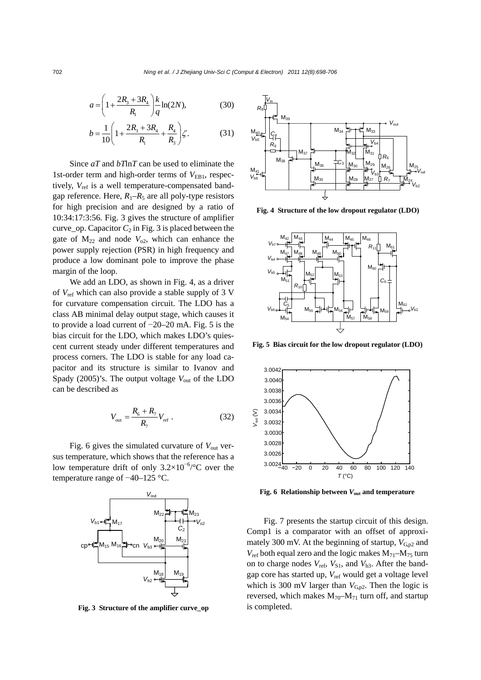$$
a = \left(1 + \frac{2R_3 + 3R_4}{R_1}\right) \frac{k}{q} \ln(2N),\tag{30}
$$

$$
b = \frac{1}{10} \left( 1 + \frac{2R_3 + 3R_4}{R_1} + \frac{R_4}{R_3} \right) \zeta.
$$
 (31)

Since *aT* and *bT*ln*T* can be used to eliminate the 1st-order term and high-order terms of  $V_{EB1}$ , respectively, V<sub>ref</sub> is a well temperature-compensated bandgap reference. Here,  $R_1-R_5$  are all poly-type resistors for high precision and are designed by a ratio of 10:34:17:3:56. Fig. 3 gives the structure of amplifier curve<sub>op.</sub> Capacitor  $C_2$  in Fig. 3 is placed between the gate of  $M_{22}$  and node  $V_{02}$ , which can enhance the power supply rejection (PSR) in high frequency and produce a low dominant pole to improve the phase margin of the loop.

We add an LDO, as shown in Fig. 4, as a driver of *V*ref which can also provide a stable supply of 3 V for curvature compensation circuit. The LDO has a class AB minimal delay output stage, which causes it to provide a load current of −20–20 mA. Fig. 5 is the bias circuit for the LDO, which makes LDO's quiescent current steady under different temperatures and process corners. The LDO is stable for any load capacitor and its structure is similar to Ivanov and Spady (2005)'s. The output voltage  $V_{\text{out}}$  of the LDO can be described as

$$
V_{\text{out}} = \frac{R_6 + R_7}{R_7} V_{\text{ref}} \,. \tag{32}
$$

Fig. 6 gives the simulated curvature of  $V_{\text{out}}$  versus temperature, which shows that the reference has a low temperature drift of only  $3.2 \times 10^{-6}$ <sup>o</sup>C over the temperature range of −40–125 °C.



Fig. 3 Structure of the amplifier curve\_op is completed.



 **Fig. 4 Structure of the low dropout regulator (LDO)** 



**Fig. 5 Bias circuit for the low dropout regulator (LDO)**



**Fig. 6 Relationship between** *V***out and temperature** 

Fig. 7 presents the startup circuit of this design. Comp1 is a comparator with an offset of approximately 300 mV. At the beginning of startup,  $V_{\text{Gp2}}$  and  $V_{\text{ref}}$  both equal zero and the logic makes  $M_{71}-M_{75}$  turn on to charge nodes  $V_{\text{ref}}$ ,  $V_{\text{S1}}$ , and  $V_{\text{b3}}$ . After the bandgap core has started up, *V*ref would get a voltage level which is 300 mV larger than  $V_{G,p2}$ . Then the logic is reversed, which makes  $M_{70}$ – $M_{71}$  turn off, and startup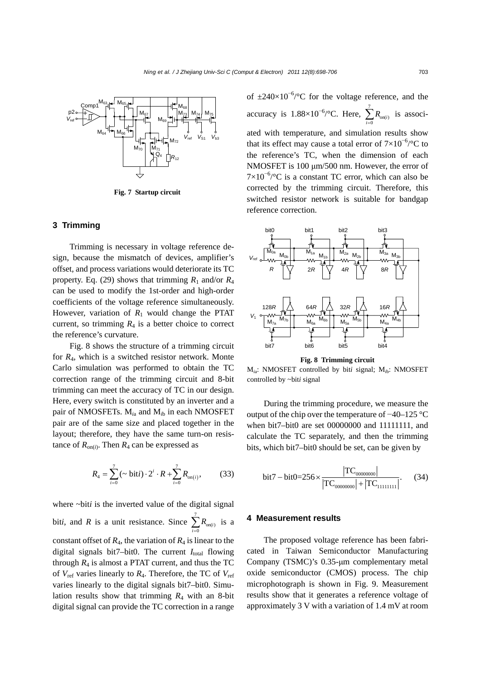

**Fig. 7 Startup circuit** 

## **3 Trimming**

Trimming is necessary in voltage reference design, because the mismatch of devices, amplifier's offset, and process variations would deteriorate its TC property. Eq. (29) shows that trimming  $R_1$  and/or  $R_4$ can be used to modify the 1st-order and high-order coefficients of the voltage reference simultaneously. However, variation of  $R_1$  would change the PTAT current, so trimming  $R_4$  is a better choice to correct the reference's curvature.

Fig. 8 shows the structure of a trimming circuit for *R*4, which is a switched resistor network. Monte Carlo simulation was performed to obtain the TC correction range of the trimming circuit and 8-bit trimming can meet the accuracy of TC in our design. Here, every switch is constituted by an inverter and a pair of NMOSFETs. M*i*a and M*i*b in each NMOSFET pair are of the same size and placed together in the layout; therefore, they have the same turn-on resistance of  $R_{\text{on}(i)}$ . Then  $R_4$  can be expressed as

$$
R_4 = \sum_{i=0}^{7} (\sim \text{bit} i) \cdot 2^i \cdot R + \sum_{i=0}^{7} R_{\text{on}(i)}, \quad (33)
$$

where ~bit*i* is the inverted value of the digital signal bit*i*, and *R* is a unit resistance. Since  $\sum_{n=1}^{\infty}$  $\sum_{i=0}^{\infty} \mathbf{A}_{\text{on}(i)}$ *R*  $\sum_{i=0} R_{\text{on}(i)}$  is a constant offset of  $R_4$ , the variation of  $R_4$  is linear to the digital signals bit7–bit0. The current  $I_{total}$  flowing through  $R_4$  is almost a PTAT current, and thus the TC of *V*ref varies linearly to *R*4. Therefore, the TC of *V*ref varies linearly to the digital signals bit7–bit0. Simulation results show that trimming  $R_4$  with an 8-bit digital signal can provide the TC correction in a range

of  $\pm 240 \times 10^{-6}$  oc for the voltage reference, and the accuracy is  $1.88\times10^{-6}$ /°C. Here,  $\sum_{n=1}^{\infty}$  $\sum_{i=0}^{\infty} \binom{n}{i}$ *R*  $\sum_{i=0}$   $R_{\text{on}(i)}$  is associated with temperature, and simulation results show that its effect may cause a total error of  $7\times10^{-6}$ /°C to the reference's TC, when the dimension of each NMOSFET is 100 μm/500 nm. However, the error of  $7\times10^{-6}$ /°C is a constant TC error, which can also be corrected by the trimming circuit. Therefore, this switched resistor network is suitable for bandgap reference correction.



**Fig. 8 Trimming circuit** 

M*i*a: NMOSFET controlled by bit*i* signal; M*i*b: NMOSFET controlled by ~bit*i* signal

During the trimming procedure, we measure the output of the chip over the temperature of −40–125 °C when bit7–bit0 are set 00000000 and 11111111, and calculate the TC separately, and then the trimming bits, which bit7–bit0 should be set, can be given by

$$
\text{bit7} - \text{bit0} = 256 \times \frac{|\text{TC}_{00000000}|}{|\text{TC}_{00000000}| + |\text{TC}_{11111111}|}. \tag{34}
$$

#### **4 Measurement results**

The proposed voltage reference has been fabricated in Taiwan Semiconductor Manufacturing Company (TSMC)'s 0.35-μm complementary metal oxide semiconductor (CMOS) process. The chip microphotograph is shown in Fig. 9. Measurement results show that it generates a reference voltage of approximately 3 V with a variation of 1.4 mV at room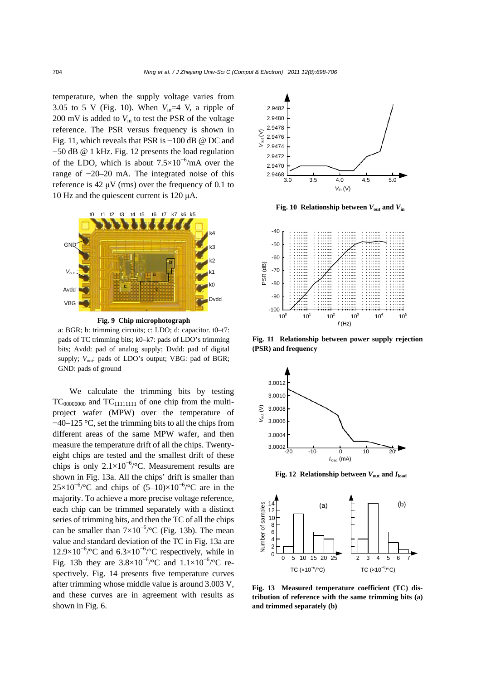temperature, when the supply voltage varies from 3.05 to 5 V (Fig. 10). When  $V_{in}$ =4 V, a ripple of 200 mV is added to *V*in to test the PSR of the voltage reference. The PSR versus frequency is shown in Fig. 11, which reveals that PSR is −100 dB @ DC and −50 dB @ 1 kHz. Fig. 12 presents the load regulation of the LDO, which is about  $7.5 \times 10^{-6}$ /mA over the range of −20–20 mA. The integrated noise of this reference is 42  $\mu$ V (rms) over the frequency of 0.1 to 10 Hz and the quiescent current is 120 μA.



**Fig. 9 Chip microphotograph** 

a: BGR; b: trimming circuits; c: LDO; d: capacitor. t0–t7: pads of TC trimming bits; k0–k7: pads of LDO's trimming bits; Avdd: pad of analog supply; Dvdd: pad of digital supply;  $V_{\text{out}}$ : pads of LDO's output; VBG: pad of BGR; GND: pads of ground

We calculate the trimming bits by testing  $TC_{00000000}$  and  $TC_{11111111}$  of one chip from the multiproject wafer (MPW) over the temperature of −40–125 °C, set the trimming bits to all the chips from different areas of the same MPW wafer, and then measure the temperature drift of all the chips. Twentyeight chips are tested and the smallest drift of these chips is only  $2.1 \times 10^{-6}$  /°C. Measurement results are shown in Fig. 13a. All the chips' drift is smaller than  $25\times10^{-6}$ /°C and chips of  $(5-10)\times10^{-6}$ /°C are in the majority. To achieve a more precise voltage reference, each chip can be trimmed separately with a distinct series of trimming bits, and then the TC of all the chips can be smaller than  $7\times10^{-6}$  °C (Fig. 13b). The mean value and standard deviation of the TC in Fig. 13a are 12.9×10<sup>-6</sup>/°C and 6.3×10<sup>-6</sup>/°C respectively, while in Fig. 13b they are  $3.8 \times 10^{-6}$  /°C and  $1.1 \times 10^{-6}$  /°C respectively. Fig. 14 presents five temperature curves after trimming whose middle value is around 3.003 V, and these curves are in agreement with results as shown in Fig. 6.



**Fig. 10 Relationship between**  $V_{\text{out}}$  **and**  $V_{\text{in}}$ 



**Fig. 11 Relationship between power supply rejection (PSR) and frequency** 



**Fig. 12 Relationship between**  $V_{\text{out}}$  **and**  $I_{\text{load}}$ 



**Fig. 13 Measured temperature coefficient (TC) distribution of reference with the same trimming bits (a) and trimmed separately (b)**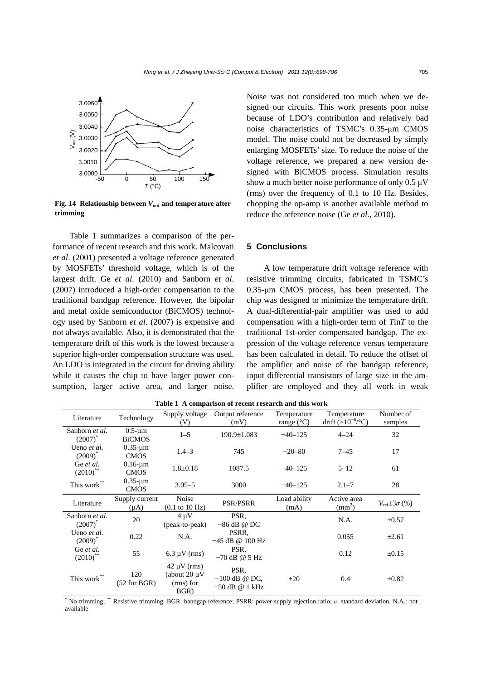

**Fig. 14 Relationship between** *V***out and temperature after trimming** 

Table 1 summarizes a comparison of the performance of recent research and this work. Malcovati *et al*. (2001) presented a voltage reference generated by MOSFETs' threshold voltage, which is of the largest drift. Ge *et al*. (2010) and Sanborn *et al*. (2007) introduced a high-order compensation to the traditional bandgap reference. However, the bipolar and metal oxide semiconductor (BiCMOS) technology used by Sanborn *et al*. (2007) is expensive and not always available. Also, it is demonstrated that the temperature drift of this work is the lowest because a superior high-order compensation structure was used. An LDO is integrated in the circuit for driving ability while it causes the chip to have larger power consumption, larger active area, and larger noise.

Noise was not considered too much when we designed our circuits. This work presents poor noise because of LDO's contribution and relatively bad noise characteristics of TSMC's 0.35-μm CMOS model. The noise could not be decreased by simply enlarging MOSFETs' size. To reduce the noise of the voltage reference, we prepared a new version designed with BiCMOS process. Simulation results show a much better noise performance of only 0.5 μV (rms) over the frequency of 0.1 to 10 Hz. Besides, chopping the op-amp is another available method to reduce the reference noise (Ge *et al*., 2010).

### **5 Conclusions**

A low temperature drift voltage reference with resistive trimming circuits, fabricated in TSMC's 0.35-μm CMOS process, has been presented. The chip was designed to minimize the temperature drift. A dual-differential-pair amplifier was used to add compensation with a high-order term of *T*ln*T* to the traditional 1st-order compensated bandgap. The expression of the voltage reference versus temperature has been calculated in detail. To reduce the offset of the amplifier and noise of the bandgap reference, input differential transistors of large size in the amplifier are employed and they all work in weak

| Literature                      | Technology                     | Supply voltage<br>(V)                                      | Output reference<br>(mV)                    | Temperature<br>range $(^{\circ}C)$ | Temperature<br>drift $(x10^{-6}/^{\circ}C)$ | Number of<br>samples            |
|---------------------------------|--------------------------------|------------------------------------------------------------|---------------------------------------------|------------------------------------|---------------------------------------------|---------------------------------|
| Sanborn et al.<br>$(2007)^*$    | $0.5 - \mu m$<br><b>BiCMOS</b> | $1 - 5$                                                    | $190.9 \pm 1.083$                           | $-40-125$                          | $4 - 24$                                    | 32                              |
| Ueno et al.<br>$(2009)^*$       | $0.35 - \mu m$<br><b>CMOS</b>  | $1.4 - 3$                                                  | 745                                         | $-20 - 80$                         | $7 - 45$                                    | 17                              |
| Ge et al.<br>$(2010)^{4}$       | $0.16$ -um<br><b>CMOS</b>      | $1.8 \pm 0.18$                                             | 1087.5                                      | $-40-125$                          | $5 - 12$                                    | 61                              |
| This $\operatorname{work}^{**}$ | $0.35 - \mu m$<br><b>CMOS</b>  | $3.05 - 5$                                                 | 3000                                        | $-40-125$                          | $2.1 - 7$                                   | 28                              |
| Literature                      | Supply current<br>$(\mu A)$    | Noise<br>$(0.1 \text{ to } 10 \text{ Hz})$                 | <b>PSR/PSRR</b>                             | Load ability<br>(mA)               | Active area<br>$\text{(mm}^2)$              | $V_{\text{ref}}\pm 3\sigma$ (%) |
| Sanborn et al.<br>$(2007)^*$    | 20                             | $4 \mu V$<br>(peak-to-peak)                                | PSR.<br>$-86$ dB @ DC                       |                                    | N.A.                                        | $\pm 0.57$                      |
| Ueno et al.<br>$(2009)^*$       | 0.22                           | N.A.                                                       | PSRR.<br>$-45$ dB @ 100 Hz                  |                                    | 0.055                                       | $\pm 2.61$                      |
| Ge et al.<br>$(2010)$ **        | 55                             | $6.3 \mu V$ (rms)                                          | PSR.<br>$-70$ dB @ 5 Hz                     |                                    | 0.12                                        | $\pm 0.15$                      |
| This work**                     | 120<br>$(52$ for BGR)          | $42 \mu V$ (rms)<br>(about $20 \mu V$<br>(rms) for<br>BGR) | PSR.<br>$-100$ dB @ DC,<br>$-50$ dB @ 1 kHz | $\pm 20$                           | 0.4                                         | $\pm 0.82$                      |

**Table 1 A comparison of recent research and this work** 

\* No trimming; \*\* Resistive trimming. BGR: bandgap reference; PSRR: power supply rejection ratio; *σ*: standard deviation. N.A.: not available